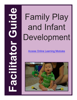# and Infant Development

# [Access Online Learning Modules](https://www.easternct.edu/center-for-early-childhood-education/online-learning-modules.html)

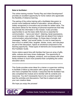#### **Note to facilitator:**

The online training module "Family Play and Infant Development" provides an excellent opportunity for home visitors who appreciate the flexibility of distance learning.

The pairing of the online training with a facilitated discussion (a proven more traditional method of education, whose efficacy is widely recognized) is innovative and provides for added value. The discussion allows for the sharing of personal experiences that help to illuminate the information in the module. It also provides opportunities to use the basic skills that are so essential for communication – "serve and return", listening, facial expressions, vocal intonation, eye contact - things that are absent from today's communication using technology. (In these days of emails, text messages, "selfies", and social media, it's nice to meet face-toface once in a while!) Also, laughter, stories, music, and role-plays as part of the discussion, injects an emotional component to the learning opportunity. These types of elements are incorporated into this Facilitator Guide.

Home visitors spend time with families that have an array of gifts, skills, cultures and many times challenges. The opportunity to share experiences, strategies, solutions, and successes with other family workers is much more powerful than completing the online education alone.

# \*\*\*\*\*\*\*\*\*\*\*\*\*\*\*\*\*\*\*\*\*\*\*\*\*\*\*\*\*\*\*\*\*\*\*\*\*\*\*\*\*\*\*\*\*\*\*\*\*\*\*\*\*\*\*\*\*\*\*\*\*\*\*\*\*\*\*\*\*\*\*\*\*\*

This Guide provides some ideas for a trainer or supervisor wishing to facilitate a follow-up discussion with a group of home visitors who have completed the module. It assumes that the facilitator has also completed the module and is familiar with its contents and resources. You don't necessarily have to be a content expert to lead the activities and discussions. Feel free to adjust and add your own creative ideas.

We hope you enjoy the process!

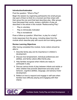#### **Introduction/Icebreaker**

Post the question: "What is Play?"

Begin the session by organizing participants into small groups. Ask each of them to think for a moment and then share with their group the one word that best describes play. After groups have discussed their words, review a definition of play as described in the article in this module "Rediscovering Play":

- Play is voluntary
- Play is intrinsically motivated
- Play is recreational

Pose a follow-up question: What then, is play for a baby?

Invite responses from the group, including ideas from the module which describe play with sound and turn-taking games.

#### **Review Learning Objectives**

After having completed this module, home visitors should be able to:

- 1. Describe family play and its importance in children's development.
- 2. Discuss how temperament, individual preferences and abilities, and family culture affect family play.
- 3. Help families recognize when infants are ready to participate in play.
- 4. Discuss various kinds of play between infants and adults or other children that promote attachment and early social behavior, cognitive abilities, language, and sensory-motor development.
- 5. Reflect on how to respond and engage in self-care when families have difficulty playing and engaging with their infants.

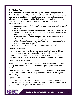### **Self-Select Topics**

Write each of the following items on separate papers and post on walls throughout the room. Allow participants to select the topic of most interest and gather around that question. Provide ample time for the groups to discuss their topic, then signal for their attention and ask each group to share an idea with the whole group for consideration. Facilitate large group discussion.

- *1. Should we assume that adults know how to play with their children? Why or why not?*
- *2. What do parents do when you ask them to play with children as part of the home visit? Are some of them hesitant? Why might they feel uncomfortable doing so?*
- *3. Who plays with babies? When you were young, who were your playmates? (Today it is more common to have fewer or only one child. What implications might this have - for the need of adults to engage in play with children?)*
- *4. How do you explain to families the importance of play?*

## **Review Vocabulary**

In order to review some of the key concepts, use the Crossword Puzzle handout (at end of guide). Have participants work with partners to complete it. Then ask if there are any terms that they found tricky and discuss those items in more detail to provide any needed clarification.

## **Whole Group Discussion**

Provide an opportunity for home visitors to share the strategies they use to help families to learn about their infants' psychological states. Ask them:

*What are some strategies you have used to help families learn to follow their babies' cues? How do you help them know when it is not a good time to play?*

Optional follow-up question:

*In one section of the module, it's mentioned that adults sometimes use playful behaviors to soothe or distract a child who is upset. When is this a good idea? When might it not be a good idea?* 

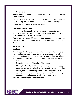### **Think-Pair-Share**

Prompt each participant to think about the following and then share with a partner:

Identify some pros and cons of the home visitor bringing interesting toys vs. using objects found in the home that could inspire play.

Invite a few teams to share with the group.

#### **Whole Group Discussion**

In the module, home visitors are asked to consider activities that would be a good play match. This requires having some sense of what parents might enjoy themselves.

Prompt a conversation: *How do you learn about various family play styles? Does your curriculum allow space to differentiate for each family?*

# **Small Groups**

#### Sharing Games

Provide post-it notes and have each home visitor write down one of their own family's favorite baby games and or songs. In small groups, have them share their notes while posting them on a large piece of paper. Using markers, they can add notes based on the following:

- Describe the roots of that play, if they know.
- Identify the benefits that those games might have for a baby's development (referring back to the concepts from the module).
- Finally, think about the enjoyment factor digging back into some of their favorite moments as a young child, or thinking about their favorite moments with their own children.

Post the completed posters for all to see.

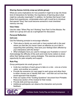#### **Sharing Games Activity wrap-up (whole group):**

What are some implications for how powerful it might be to tap into those kind of interactions for families; the importance of learning about what might be culturally meaningful? In addition, for families that haven't had these fond experiences, contemplate what a gift it could be to introduce that special "thing" that could become someone's most cherished memory one day.

#### **View Video**

Use the video "When Play Isn't Working" from Part 5 of the Module. Rewatch as a group and use as a springboard for discussion.

#### **Personal Reflection**

#### Self-Care

Use the following prompts to encourage reflection:

• *Think about a family you work with or have worked with in the past where you feel like you haven't been as effective as you'd like in supporting their parenting. How have your feelings been affected by your interactions with this family?*

• *What strategies have you used to manage your frustration or worry?* Acknowledge the difficulty of this work and invite home visitors to share either their feelings and/or coping strategies. This exercise provides an opportunity for peer empathy and support.

#### **Role Play**

Group participants into small groups of 4.

- Invite two members of each group to take on a role one as a home visitor, and another as a parent.
- Provide the scenarios (on next page) to each group and allow them to either choose one or identify their own – and then act out how they would approach that situation.
- Pass out copies of the "Guiding Questions" document from Printable Resources section of the module for their review.
- Provide dolls and toys as props.
- Additional participants can observe the interaction and provide feedback.

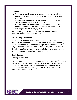#### Scenarios:

- o Conversation with a dad who expresses having a challenge engaging his child who he reports is not interested in playing with him.
- o Supporting a parent in engaging an infant during tummy time and explaining the benefits of this play.
- o Conversation with a frustrated and overwhelmed mom who needs help setting aside time to play with her baby who is showing an interest in playing with her.

After providing ample time for this activity, debrief with each group and invite them to share their insights.

#### **Whole group Discussion**

In the module, home visitors are encouraged not to place too much emphasis on milestone checklists, but rather to focus on supporting secure attachment, play and relationships. Acknowledge that this may be contrary to the expectations of their programs. Ask them to describe ways they are able to incorporate these elements into their work while completing curricular requirements.

#### **Small Groups**

#### Sharing what worked

Ask if anyone in the group tried using the Family Play Log. If so, have them share how that went. Then, within small groups, ask them to share the alternative ways they document and celebrate the play interactions families have throughout the week. They could also brainstorm new ideas to try.

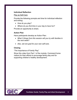#### **Individual Reflection**

#### Play as Self-Care

Provide the following prompts and time for individual reflection and writing:

- *How do you play?*
- *Where do you find time in your day to have fun?*

Provide an opportunity to share.

#### **Action Plan**

Have participants develop an Action Plan:

- *What 3 things from this session will you try with families in the next week?*
- *Also, set one goal for your own self-care.*

#### **Closing**

"The Importance of Family Play"

Show this video from Part 1 of the module. Commend home visitors for their efforts to encourage family play and for supporting children's healthy development.

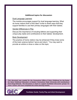#### **Additional topics for discussion**

#### Dual-Language Learners

The module encourages support for dual language learning. What do home visitors think of this idea? Invite to share ways that they support families to use their primary languages with their babies.

#### Gender Differences in Play

Discuss the importance of including fathers and supporting their unique play styles and contributions to their babies' development.

#### Brain Development

The practice of home visitors may be enhanced if they knew some of the brain science behind "serve and return." You may want to provide an article or show a video on this topic.

*This document was created for the Connecticut Office of Early Childhood by the Center for Early Childhood Education at Eastern Connecticut State University with contributions from Doug Edwards. The document is meant to support facilitated discussion groups for home visitors who have completed the online learning module.*



**Facilitator Guide: Family Play and Infant Development**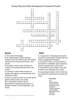# Family Play and Infant Development Crossword Puzzle



#### **Across Down**

- **4.** The sounds of language.
- **5.** An understanding, usually emerging
- between 8 and 12 months of age, that objects still exist even if they cannot be seen. *(two words)*
- **6.** The style in which various families and cultures communicate with each other. *(two words)*
- **7.** A process in which infants become so familiar with objects or events that they show disinterest in them.
- **9.** When an adult and infant mimic each other's actions and/or sounds. *(two words)*
- **10.** A set of brain functions that are responsible for regulating mental action i.e. attention, memory, and self-regulation. *(two words)*

- **1.** A special form of language that parents around the world speak to children that may include exaggerated intonations.
- **2.** An action in which an infant performs a movement or vocalization, gets a response, and then repeats it back. *(two words)*
- **3.** The intrinsic drive to master a new skill, frustration and challenges.*(two words)*
- **8.** a psychological state in which infants are very attentive to what others are saying and doing.

#### **Word Bank**

alert circular reaction cultural discourse executive function habituation mastery motivation mutual imitation object permanence parentese phonology